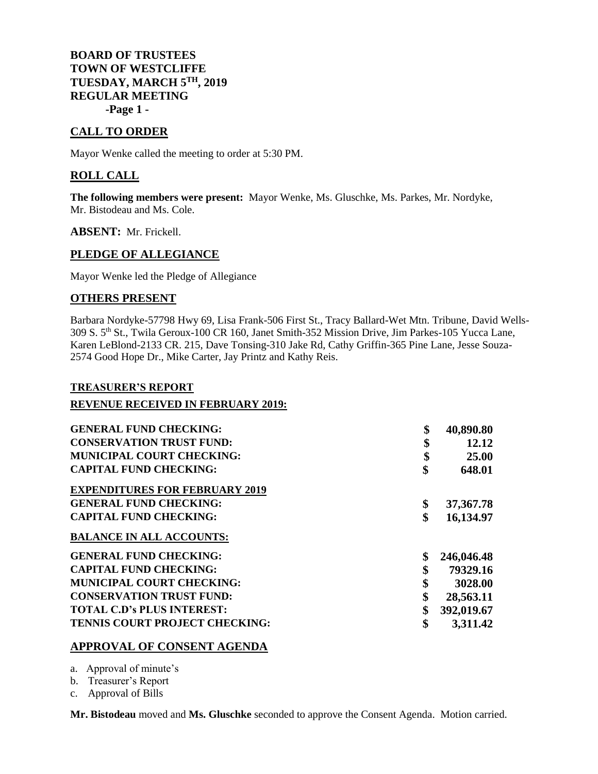**BOARD OF TRUSTEES TOWN OF WESTCLIFFE TUESDAY, MARCH 5 TH, 2019 REGULAR MEETING -Page 1 -**

# **CALL TO ORDER**

Mayor Wenke called the meeting to order at 5:30 PM.

# **ROLL CALL**

**The following members were present:** Mayor Wenke, Ms. Gluschke, Ms. Parkes, Mr. Nordyke, Mr. Bistodeau and Ms. Cole.

**ABSENT:** Mr. Frickell.

### **PLEDGE OF ALLEGIANCE**

Mayor Wenke led the Pledge of Allegiance

## **OTHERS PRESENT**

Barbara Nordyke-57798 Hwy 69, Lisa Frank-506 First St., Tracy Ballard-Wet Mtn. Tribune, David Wells-309 S. 5<sup>th</sup> St., Twila Geroux-100 CR 160, Janet Smith-352 Mission Drive, Jim Parkes-105 Yucca Lane, Karen LeBlond-2133 CR. 215, Dave Tonsing-310 Jake Rd, Cathy Griffin-365 Pine Lane, Jesse Souza-2574 Good Hope Dr., Mike Carter, Jay Printz and Kathy Reis.

#### **TREASURER'S REPORT**

### **REVENUE RECEIVED IN FEBRUARY 2019:**

| <b>GENERAL FUND CHECKING:</b>         | \$<br>40,890.80   |
|---------------------------------------|-------------------|
| <b>CONSERVATION TRUST FUND:</b>       | \$<br>12.12       |
| <b>MUNICIPAL COURT CHECKING:</b>      | \$<br>25.00       |
| <b>CAPITAL FUND CHECKING:</b>         | \$<br>648.01      |
| <b>EXPENDITURES FOR FEBRUARY 2019</b> |                   |
| <b>GENERAL FUND CHECKING:</b>         | \$<br>37, 367. 78 |
| <b>CAPITAL FUND CHECKING:</b>         | \$<br>16,134.97   |
| <b>BALANCE IN ALL ACCOUNTS:</b>       |                   |
| <b>GENERAL FUND CHECKING:</b>         | \$<br>246,046.48  |
| <b>CAPITAL FUND CHECKING:</b>         | \$<br>79329.16    |
| <b>MUNICIPAL COURT CHECKING:</b>      | \$<br>3028.00     |
| <b>CONSERVATION TRUST FUND:</b>       | \$<br>28,563.11   |
| <b>TOTAL C.D's PLUS INTEREST:</b>     | \$<br>392,019.67  |
| TENNIS COURT PROJECT CHECKING:        | \$<br>3,311.42    |

### **APPROVAL OF CONSENT AGENDA**

- a. Approval of minute's
- b. Treasurer's Report
- c. Approval of Bills

**Mr. Bistodeau** moved and **Ms. Gluschke** seconded to approve the Consent Agenda. Motion carried.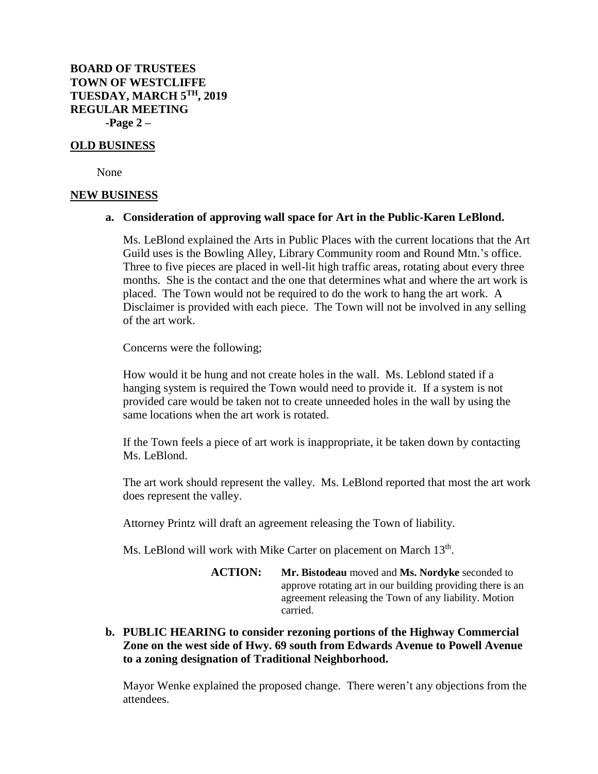**BOARD OF TRUSTEES TOWN OF WESTCLIFFE TUESDAY, MARCH 5 TH, 2019 REGULAR MEETING -Page 2 –**

#### **OLD BUSINESS**

None

#### **NEW BUSINESS**

#### **a. Consideration of approving wall space for Art in the Public-Karen LeBlond.**

Ms. LeBlond explained the Arts in Public Places with the current locations that the Art Guild uses is the Bowling Alley, Library Community room and Round Mtn.'s office. Three to five pieces are placed in well-lit high traffic areas, rotating about every three months. She is the contact and the one that determines what and where the art work is placed. The Town would not be required to do the work to hang the art work. A Disclaimer is provided with each piece. The Town will not be involved in any selling of the art work.

Concerns were the following;

How would it be hung and not create holes in the wall. Ms. Leblond stated if a hanging system is required the Town would need to provide it. If a system is not provided care would be taken not to create unneeded holes in the wall by using the same locations when the art work is rotated.

If the Town feels a piece of art work is inappropriate, it be taken down by contacting Ms. LeBlond.

The art work should represent the valley. Ms. LeBlond reported that most the art work does represent the valley.

Attorney Printz will draft an agreement releasing the Town of liability.

Ms. LeBlond will work with Mike Carter on placement on March 13<sup>th</sup>.

**ACTION: Mr. Bistodeau** moved and **Ms. Nordyke** seconded to approve rotating art in our building providing there is an agreement releasing the Town of any liability. Motion carried.

**b. PUBLIC HEARING to consider rezoning portions of the Highway Commercial Zone on the west side of Hwy. 69 south from Edwards Avenue to Powell Avenue to a zoning designation of Traditional Neighborhood.** 

Mayor Wenke explained the proposed change. There weren't any objections from the attendees.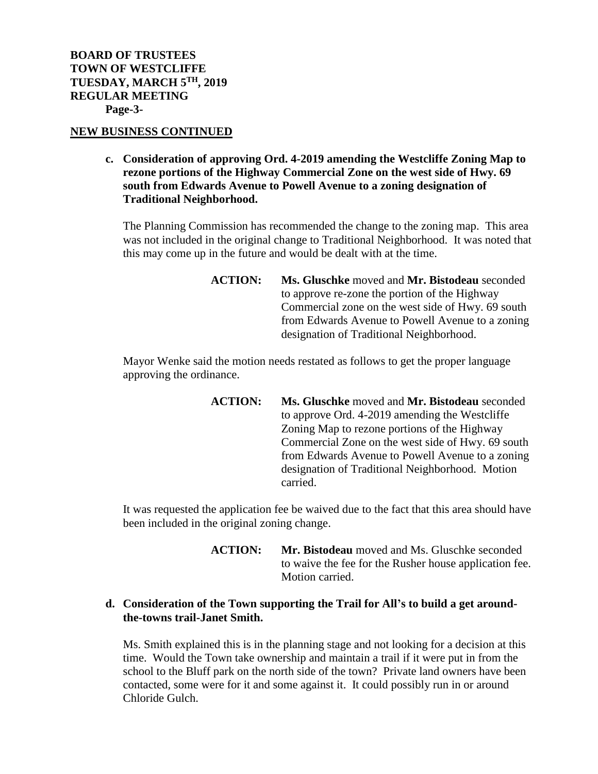## **NEW BUSINESS CONTINUED**

**c. Consideration of approving Ord. 4-2019 amending the Westcliffe Zoning Map to rezone portions of the Highway Commercial Zone on the west side of Hwy. 69 south from Edwards Avenue to Powell Avenue to a zoning designation of Traditional Neighborhood.** 

The Planning Commission has recommended the change to the zoning map. This area was not included in the original change to Traditional Neighborhood. It was noted that this may come up in the future and would be dealt with at the time.

> **ACTION: Ms. Gluschke** moved and **Mr. Bistodeau** seconded to approve re-zone the portion of the Highway Commercial zone on the west side of Hwy. 69 south from Edwards Avenue to Powell Avenue to a zoning designation of Traditional Neighborhood.

Mayor Wenke said the motion needs restated as follows to get the proper language approving the ordinance.

> **ACTION: Ms. Gluschke** moved and **Mr. Bistodeau** seconded to approve Ord. 4-2019 amending the Westcliffe Zoning Map to rezone portions of the Highway Commercial Zone on the west side of Hwy. 69 south from Edwards Avenue to Powell Avenue to a zoning designation of Traditional Neighborhood. Motion carried.

It was requested the application fee be waived due to the fact that this area should have been included in the original zoning change.

> **ACTION: Mr. Bistodeau** moved and Ms. Gluschke seconded to waive the fee for the Rusher house application fee. Motion carried.

# **d. Consideration of the Town supporting the Trail for All's to build a get aroundthe-towns trail-Janet Smith.**

Ms. Smith explained this is in the planning stage and not looking for a decision at this time. Would the Town take ownership and maintain a trail if it were put in from the school to the Bluff park on the north side of the town? Private land owners have been contacted, some were for it and some against it. It could possibly run in or around Chloride Gulch.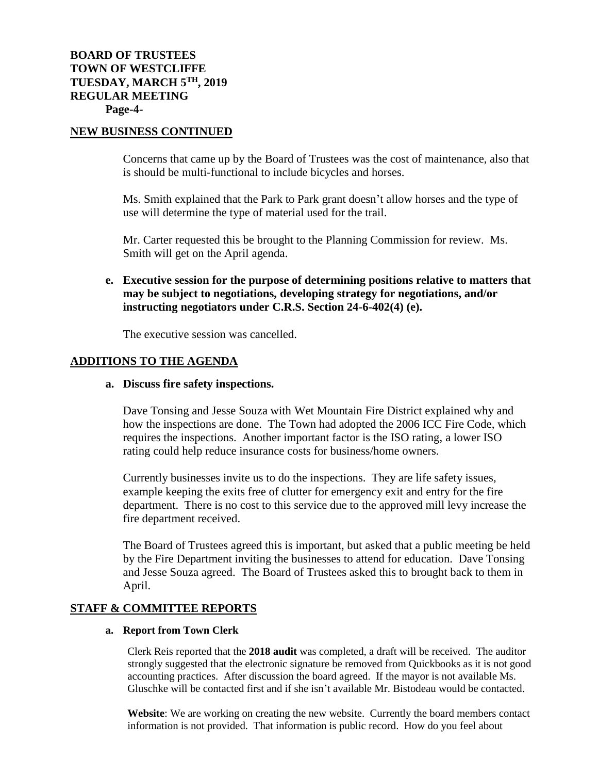### **NEW BUSINESS CONTINUED**

Concerns that came up by the Board of Trustees was the cost of maintenance, also that is should be multi-functional to include bicycles and horses.

Ms. Smith explained that the Park to Park grant doesn't allow horses and the type of use will determine the type of material used for the trail.

Mr. Carter requested this be brought to the Planning Commission for review. Ms. Smith will get on the April agenda.

# **e. Executive session for the purpose of determining positions relative to matters that may be subject to negotiations, developing strategy for negotiations, and/or instructing negotiators under C.R.S. Section 24-6-402(4) (e).**

The executive session was cancelled.

### **ADDITIONS TO THE AGENDA**

#### **a. Discuss fire safety inspections.**

Dave Tonsing and Jesse Souza with Wet Mountain Fire District explained why and how the inspections are done. The Town had adopted the 2006 ICC Fire Code, which requires the inspections. Another important factor is the ISO rating, a lower ISO rating could help reduce insurance costs for business/home owners.

Currently businesses invite us to do the inspections. They are life safety issues, example keeping the exits free of clutter for emergency exit and entry for the fire department. There is no cost to this service due to the approved mill levy increase the fire department received.

The Board of Trustees agreed this is important, but asked that a public meeting be held by the Fire Department inviting the businesses to attend for education. Dave Tonsing and Jesse Souza agreed. The Board of Trustees asked this to brought back to them in April.

# **STAFF & COMMITTEE REPORTS**

#### **a. Report from Town Clerk**

Clerk Reis reported that the **2018 audit** was completed, a draft will be received. The auditor strongly suggested that the electronic signature be removed from Quickbooks as it is not good accounting practices. After discussion the board agreed. If the mayor is not available Ms. Gluschke will be contacted first and if she isn't available Mr. Bistodeau would be contacted.

**Website**: We are working on creating the new website. Currently the board members contact information is not provided. That information is public record. How do you feel about